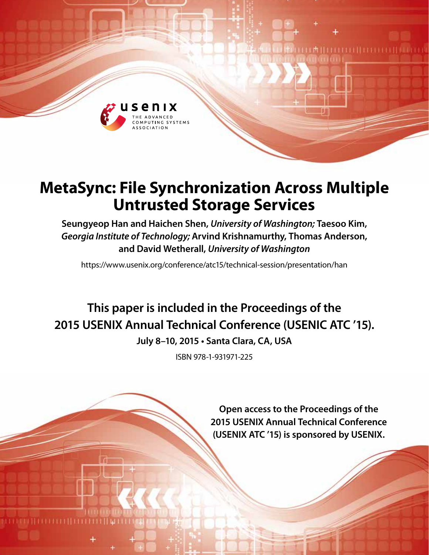

# **MetaSync: File Synchronization Across Multiple Untrusted Storage Services**

**Seungyeop Han and Haichen Shen,** *University of Washington;* **Taesoo Kim,**  *Georgia Institute of Technology;* **Arvind Krishnamurthy, Thomas Anderson, and David Wetherall,** *University of Washington*

https://www.usenix.org/conference/atc15/technical-session/presentation/han

# **This paper is included in the Proceedings of the 2015 USENIX Annual Technical Conference (USENIC ATC '15).**

**July 8–10, 2015 • Santa Clara, CA, USA**

ISBN 978-1-931971-225

**Open access to the Proceedings of the 2015 USENIX Annual Technical Conference (USENIX ATC '15) is sponsored by USENIX.**

1 M 11 1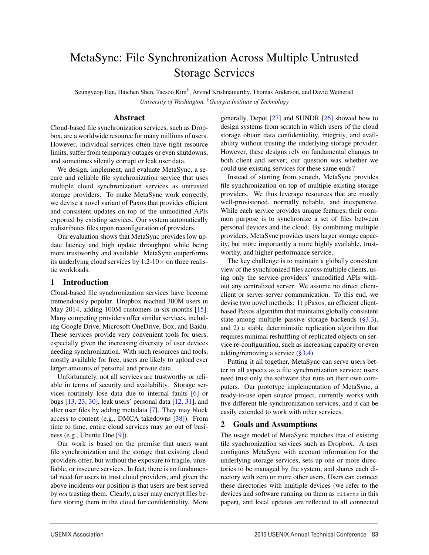# MetaSync: File Synchronization Across Multiple Untrusted Storage Services

Seungyeop Han, Haichen Shen, Taesoo Kim<sup>†</sup>, Arvind Krishnamurthy, Thomas Anderson, and David Wetherall *University of Washington,* †*Georgia Institute of Technology*

#### Abstract

Cloud-based file synchronization services, such as Dropbox, are a worldwide resource for many millions of users. However, individual services often have tight resource limits, suffer from temporary outages or even shutdowns, and sometimes silently corrupt or leak user data.

We design, implement, and evaluate MetaSync, a secure and reliable file synchronization service that uses multiple cloud synchronization services as untrusted storage providers. To make MetaSync work correctly, we devise a novel variant of Paxos that provides efficient and consistent updates on top of the unmodified APIs exported by existing services. Our system automatically redistributes files upon reconfiguration of providers.

Our evaluation shows that MetaSync provides low update latency and high update throughput while being more trustworthy and available. MetaSync outperforms its underlying cloud services by  $1.2\times10\times$  on three realistic workloads.

#### 1 Introduction

Cloud-based file synchronization services have become tremendously popular. Dropbox reached 300M users in May 2014, adding 100M customers in six months [15]. Many competing providers offer similar services, including Google Drive, Microsoft OneDrive, Box, and Baidu. These services provide very convenient tools for users, especially given the increasing diversity of user devices needing synchronization. With such resources and tools, mostly available for free, users are likely to upload ever larger amounts of personal and private data.

Unfortunately, not all services are trustworthy or reliable in terms of security and availability. Storage services routinely lose data due to internal faults [6] or bugs [13, 23, 30], leak users' personal data [12, 31], and alter user files by adding metadata [7]. They may block access to content (e.g., DMCA takedowns [38]). From time to time, entire cloud services may go out of business (e.g., Ubuntu One [9]).

Our work is based on the premise that users want file synchronization and the storage that existing cloud providers offer, but without the exposure to fragile, unreliable, or insecure services. In fact, there is no fundamental need for users to trust cloud providers, and given the above incidents our position is that users are best served by *not* trusting them. Clearly, a user may encrypt files before storing them in the cloud for confidentiality. More generally, Depot [27] and SUNDR [26] showed how to design systems from scratch in which users of the cloud storage obtain data confidentiality, integrity, and availability without trusting the underlying storage provider. However, these designs rely on fundamental changes to both client and server; our question was whether we could use existing services for these same ends?

Instead of starting from scratch, MetaSync provides file synchronization on top of multiple existing storage providers. We thus leverage resources that are mostly well-provisioned, normally reliable, and inexpensive. While each service provides unique features, their common purpose is to synchronize a set of files between personal devices and the cloud. By combining multiple providers, MetaSync provides users larger storage capacity, but more importantly a more highly available, trustworthy, and higher performance service.

The key challenge is to maintain a globally consistent view of the synchronized files across multiple clients, using only the service providers' unmodified APIs without any centralized server. We assume no direct clientclient or server-server communication. To this end, we devise two novel methods: 1) pPaxos, an efficient clientbased Paxos algorithm that maintains globally consistent state among multiple passive storage backends (§3.3), and 2) a stable deterministic replication algorithm that requires minimal reshuffling of replicated objects on service re-configuration, such as increasing capacity or even adding/removing a service (§3.4).

Putting it all together, MetaSync can serve users better in all aspects as a file synchronization service; users need trust only the software that runs on their own computers. Our prototype implementation of MetaSync, a ready-to-use open source project, currently works with five different file synchronization services, and it can be easily extended to work with other services.

# 2 Goals and Assumptions

The usage model of MetaSync matches that of existing file synchronization services such as Dropbox. A user configures MetaSync with account information for the underlying storage services, sets up one or more directories to be managed by the system, and shares each directory with zero or more other users. Users can connect these directories with multiple devices (we refer to the devices and software running on them as clients in this paper), and local updates are reflected to all connected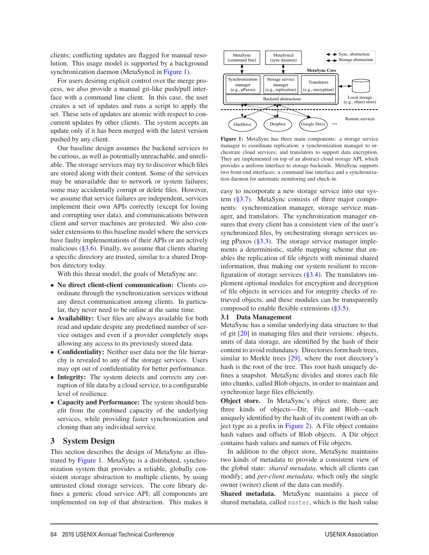clients; conflicting updates are flagged for manual resolution. This usage model is supported by a background synchronization daemon (MetaSyncd in Figure 1).

For users desiring explicit control over the merge process, we also provide a manual git-like push/pull interface with a command line client. In this case, the user creates a set of updates and runs a script to apply the set. These sets of updates are atomic with respect to concurrent updates by other clients. The system accepts an update only if it has been merged with the latest version pushed by any client.

Our baseline design assumes the backend services to be curious, as well as potentially unreachable, and unreliable. The storage services may try to discover which files are stored along with their content. Some of the services may be unavailable due to network or system failures; some may accidentally corrupt or delete files. However, we assume that service failures are independent, services implement their own APIs correctly (except for losing and corrupting user data), and communications between client and server machines are protected. We also consider extensions to this baseline model where the services have faulty implementations of their APIs or are actively malicious  $(\S 3.6)$ . Finally, we assume that clients sharing a specific directory are trusted, similar to a shared Dropbox directory today.

With this threat model, the goals of MetaSync are:

- No direct client-client communication: Clients coordinate through the synchronization services without any direct communication among clients. In particular, they never need to be online at the same time.
- Availability: User files are always available for both read and update despite any predefined number of service outages and even if a provider completely stops allowing any access to its previously stored data.
- Confidentiality: Neither user data nor the file hierarchy is revealed to any of the storage services. Users may opt out of confidentiality for better performance.
- Integrity: The system detects and corrects any corruption of file data by a cloud service, to a configurable level of resilience.
- Capacity and Performance: The system should benefit from the combined capacity of the underlying services, while providing faster synchronization and cloning than any individual service.

### 3 System Design

This section describes the design of MetaSync as illustrated by Figure 1. MetaSync is a distributed, synchronization system that provides a reliable, globally consistent storage abstraction to multiple clients, by using untrusted cloud storage services. The core library defines a generic cloud service API; all components are implemented on top of that abstraction. This makes it



Figure 1: MetaSync has three main components: a storage service manager to coordinate replication; a synchronization manager to orchestrate cloud services; and translators to support data encryption. They are implemented on top of an abstract cloud storage API, which provides a uniform interface to storage backends. MetaSync supports two front-end interfaces: a command line interface and a synchronization daemon for automatic monitoring and check-in.

easy to incorporate a new storage service into our system (§3.7). MetaSync consists of three major components: synchronization manager, storage service manager, and translators. The synchronization manager ensures that every client has a consistent view of the user's synchronized files, by orchestrating storage services using pPaxos  $(\S3.3)$ . The storage service manager implements a deterministic, stable mapping scheme that enables the replication of file objects with minimal shared information, thus making our system resilient to reconfiguration of storage services  $(\S3.4)$ . The translators implement optional modules for encryption and decryption of file objects in services and for integrity checks of retrieved objects, and these modules can be transparently composed to enable flexible extensions (§3.5).

#### 3.1 Data Management

MetaSync has a similar underlying data structure to that of git [20] in managing files and their versions: objects, units of data storage, are identified by the hash of their content to avoid redundancy. Directories form hash trees, similar to Merkle trees [29], where the root directory's hash is the root of the tree. This root hash uniquely defines a snapshot. MetaSync divides and stores each file into chunks, called Blob objects, in order to maintain and synchronize large files efficiently.

Object store. In MetaSync's object store, there are three kinds of objects—Dir, File and Blob—each uniquely identified by the hash of its content (with an object type as a prefix in Figure 2). A File object contains hash values and offsets of Blob objects. A Dir object contains hash values and names of File objects.

In addition to the object store, MetaSync maintains two kinds of metadata to provide a consistent view of the global state: *shared metadata*, which all clients can modify; and *per-client metadata*, which only the single owner (writer) client of the data can modify.

Shared metadata. MetaSync maintains a piece of shared metadata, called master, which is the hash value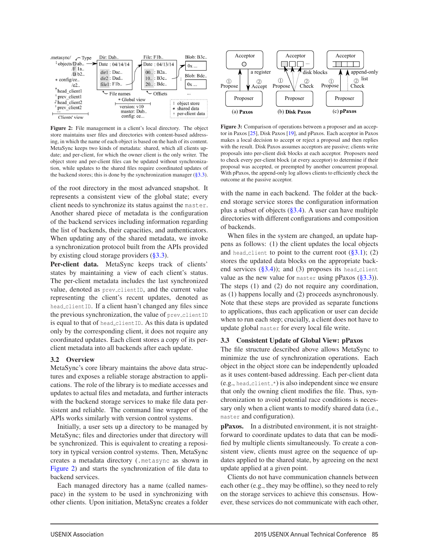

Figure 2: File management in a client's local directory. The object store maintains user files and directories with content-based addressing, in which the name of each object is based on the hash of its content. MetaSync keeps two kinds of metadata: shared, which all clients update; and per-client, for which the owner client is the only writer. The object store and per-client files can be updated without synchronization, while updates to the shared files require coordinated updates of the backend stores; this is done by the synchronization manager  $(\S 3.3)$ .

of the root directory in the most advanced snapshot. It represents a consistent view of the global state; every client needs to synchronize its status against the master. Another shared piece of metadata is the configuration of the backend services including information regarding the list of backends, their capacities, and authenticators. When updating any of the shared metadata, we invoke a synchronization protocol built from the APIs provided by existing cloud storage providers  $(\S 3.3)$ .

Per-client data. MetaSync keeps track of clients' states by maintaining a view of each client's status. The per-client metadata includes the last synchronized value, denoted as prev\_clientID, and the current value representing the client's recent updates, denoted as head clientID. If a client hasn't changed any files since the previous synchronization, the value of prev-clientID is equal to that of head clientID. As this data is updated only by the corresponding client, it does not require any coordinated updates. Each client stores a copy of its perclient metadata into all backends after each update.

#### 3.2 Overview

MetaSync's core library maintains the above data structures and exposes a reliable storage abstraction to applications. The role of the library is to mediate accesses and updates to actual files and metadata, and further interacts with the backend storage services to make file data persistent and reliable. The command line wrapper of the APIs works similarly with version control systems.

Initially, a user sets up a directory to be managed by MetaSync; files and directories under that directory will be synchronized. This is equivalent to creating a repository in typical version control systems. Then, MetaSync creates a metadata directory (.metasync as shown in Figure 2) and starts the synchronization of file data to backend services.

Each managed directory has a name (called namespace) in the system to be used in synchronizing with other clients. Upon initiation, MetaSync creates a folder



Figure 3: Comparison of operations between a proposer and an acceptor in Paxos [25], Disk Paxos [19], and pPaxos. Each acceptor in Paxos makes a local decision to accept or reject a proposal and then replies with the result. Disk Paxos assumes acceptors are passive; clients write proposals into per-client disk blocks at each acceptor. Proposers need to check every per-client block (at every acceptor) to determine if their proposal was accepted, or preempted by another concurrent proposal. With pPaxos, the append-only log allows clients to efficiently check the outcome at the passive acceptor.

with the name in each backend. The folder at the backend storage service stores the configuration information plus a subset of objects  $(\S3.4)$ . A user can have multiple directories with different configurations and composition of backends.

When files in the system are changed, an update happens as follows: (1) the client updates the local objects and head client to point to the current root  $(\S 3.1);$  (2) stores the updated data blocks on the appropriate backend services  $(\S3.4)$ ; and (3) proposes its head client value as the new value for master using pPaxos  $(\S3.3)$ ). The steps (1) and (2) do not require any coordination, as (1) happens locally and (2) proceeds asynchronously. Note that these steps are provided as separate functions to applications, thus each application or user can decide when to run each step; crucially, a client does not have to update global master for every local file write.

#### 3.3 Consistent Update of Global View: pPaxos

The file structure described above allows MetaSync to minimize the use of synchronization operations. Each object in the object store can be independently uploaded as it uses content-based addressing. Each per-client data  $(e.g., head_client_*')$  is also independent since we ensure that only the owning client modifies the file. Thus, synchronization to avoid potential race conditions is necessary only when a client wants to modify shared data (i.e., master and configuration).

pPaxos. In a distributed environment, it is not straightforward to coordinate updates to data that can be modified by multiple clients simultaneously. To create a consistent view, clients must agree on the sequence of updates applied to the shared state, by agreeing on the next update applied at a given point.

Clients do not have communication channels between each other (e.g., they may be offline), so they need to rely on the storage services to achieve this consensus. However, these services do not communicate with each other,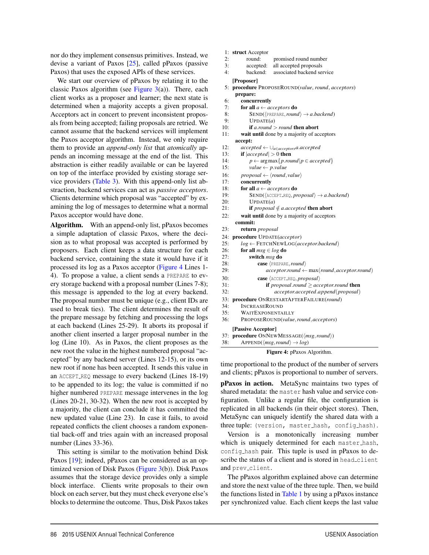nor do they implement consensus primitives. Instead, we devise a variant of Paxos [25], called pPaxos (passive Paxos) that uses the exposed APIs of these services.

We start our overview of pPaxos by relating it to the classic Paxos algorithm (see Figure 3(a)). There, each client works as a proposer and learner; the next state is determined when a majority accepts a given proposal. Acceptors act in concert to prevent inconsistent proposals from being accepted; failing proposals are retried. We cannot assume that the backend services will implement the Paxos acceptor algorithm. Instead, we only require them to provide an *append-only list* that *atomically* appends an incoming message at the end of the list. This abstraction is either readily available or can be layered on top of the interface provided by existing storage service providers (Table 3). With this append-only list abstraction, backend services can act as *passive acceptors*. Clients determine which proposal was "accepted" by examining the log of messages to determine what a normal Paxos acceptor would have done.

Algorithm. With an append-only list, pPaxos becomes a simple adaptation of classic Paxos, where the decision as to what proposal was accepted is performed by proposers. Each client keeps a data structure for each backend service, containing the state it would have if it processed its log as a Paxos acceptor (Figure 4 Lines 1- 4). To propose a value, a client sends a PREPARE to every storage backend with a proposal number (Lines 7-8); this message is appended to the log at every backend. The proposal number must be unique (e.g., client IDs are used to break ties). The client determines the result of the prepare message by fetching and processing the logs at each backend (Lines 25-29). It aborts its proposal if another client inserted a larger proposal number in the log (Line 10). As in Paxos, the client proposes as the new root the value in the highest numbered proposal "accepted" by any backend server (Lines 12-15), or its own new root if none has been accepted. It sends this value in an ACCEPT REQ message to every backend (Lines 18-19) to be appended to its log; the value is committed if no higher numbered PREPARE message intervenes in the log (Lines 20-21, 30-32). When the new root is accepted by a majority, the client can conclude it has committed the new updated value (Line 23). In case it fails, to avoid repeated conflicts the client chooses a random exponential back-off and tries again with an increased proposal number (Lines 33-36).

This setting is similar to the motivation behind Disk Paxos [19]; indeed, pPaxos can be considered as an optimized version of Disk Paxos (Figure 3(b)). Disk Paxos assumes that the storage device provides only a simple block interface. Clients write proposals to their own block on each server, but they must check everyone else's blocks to determine the outcome. Thus, Disk Paxos takes 1: struct Acceptor

- 2: round: promised round number
- 3: accepted: all accepted proposals
- 4: backend: associated backend service

[Proposer]

- 5: procedure PROPOSEROUND(*value*, *round*, *acceptors*) prepare:
- 
- 6: **concurrently**<br>7: **for all**  $a \leftarrow ac$ 7: **for all**  $a \leftarrow acceptors$  **do**<br>8: **SEND(** $\langle PREFPRE, round$
- 8: **SEND(** $\langle$ PREPARE, *round*)  $\rightarrow$  *a.backend*)<br>9. **IIPDATE(***a*)
- $UPDATE(a)$
- 10: if *a*.*round* > *round* then abort
- 11: wait until done by a majority of acceptors
- accept:
- 12: *accepted* ← ∪*a*∈*acceptorsa*.*accepted*
- 13: **if**  $|accepted| > 0$  then<br>14:  $p \leftarrow \arg \max \{p, row\}$
- 14:  $p \leftarrow \arg \max \{ p \text{.} round | p \in accepted \}$ <br>15:  $value \leftarrow p \text{.} value$
- $value \leftarrow p.value$
- 16: *proposal*  $\leftarrow \langle round, value \rangle$ <br>17: **concurrently**
- 17: **concurrently**<br>18: **for all**  $a \leftarrow ac$
- 18: **for all**  $a \leftarrow acceptors$  **do**<br>19: **SEND**((ACCEPT REO, *DI*
- 19: SEND( $\langle$ ACCEPT\_REQ, *proposal* $\rangle \rightarrow a$ *.backend*)<br>20: UPDATE(*a*)
	- $UPDATE(a)$
- 21: **if** *proposal*  $\notin$  *a*.*accepted* **then abort**<br>22: **wait until** done by a majority of acceptor
- wait until done by a majority of acceptors commit:
- 23: return *proposal*
- 
- 24: procedure UPDATE(*acceptor*)
- 25:  $log \leftarrow \text{FETCHNEWLOG}(acceptor.backend)$ <br>26: **for all**  $msg \in log$  **do**
- 26: **for all**  $msg \in log$  **do**<br>27: **switch**  $msg$  **do** 
	- switch *msg* do
- 28: **case**  $\langle PREDARE, round \rangle$ <br>29: *acceptor.round* 29:  $acceptor-round \leftarrow max(root, qacceptor.round)$ <br>30:  $case \left(\text{accept} \text{REO} \text{ } pronosal\right)$ 30: **case**  $\langle$  ACCEPT\_REQ, *proposal* $\rangle$ <br>31: **if** *proposal.round*  $\ge$  *acc* 31: **if** *proposal.round* ≥ *acceptor.round* **then**<br>32. *acceptor accepted append(proposal)* 32: *acceptor*.*accepted*.*append*(*proposal*) 33: procedure ONRESTARTAFTERFAILURE(*round*) 34: INCREASEROUND 35: WAITEXPONENTAILLY 36: PROPOSEROUND(*value*,*round*,*acceptors*) [Passive Acceptor]
- 37: **procedure** ONNEWMESSAGE( $\langle msg, round \rangle$ )<br>38: APPEND( $\langle msg, round \rangle \rightarrow log$ )  $APPEND(\langle msg, round \rangle \rightarrow log)$

Figure 4: pPaxos Algorithm.

time proportional to the product of the number of servers and clients; pPaxos is proportional to number of servers.

pPaxos in action. MetaSync maintains two types of shared metadata: the master hash value and service configuration. Unlike a regular file, the configuration is replicated in all backends (in their object stores). Then, MetaSync can uniquely identify the shared data with a three tuple: (version, master\_hash, config\_hash).

Version is a monotonically increasing number which is uniquely determined for each master\_hash, config hash pair. This tuple is used in pPaxos to describe the status of a client and is stored in head\_client and prev\_client.

The pPaxos algorithm explained above can determine and store the next value of the three tuple. Then, we build the functions listed in Table 1 by using a pPaxos instance per synchronized value. Each client keeps the last value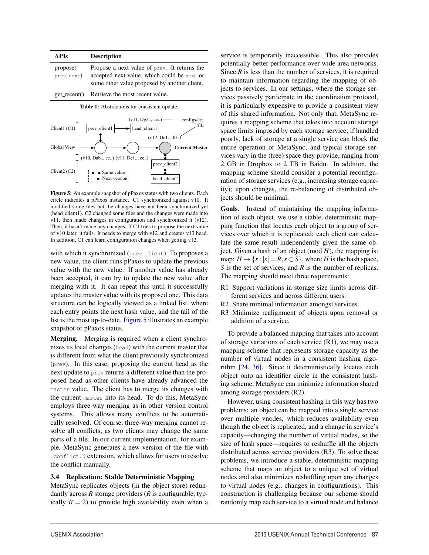| <b>APIs</b>                                  | <b>Description</b>                                                                                                                          |  |  |
|----------------------------------------------|---------------------------------------------------------------------------------------------------------------------------------------------|--|--|
| propose(<br>prev.next)                       | Propose a next value of prev. It returns the<br>accepted next value, which could be next or<br>some other value proposed by another client. |  |  |
| $get\_recent()$                              | Retrieve the most recent value.                                                                                                             |  |  |
| Table 1: Abstractions for consistent update. |                                                                                                                                             |  |  |



Figure 5: An example snapshot of pPaxos status with two clients. Each circle indicates a pPaxos instance. C1 synchronized against v10. It modified some files but the changes have not been synchronized yet (head client1). C2 changed some files and the changes were made into v11, then made changes in configuration and synchronized it (v12). Then, it hasn't made any changes. If C1 tries to propose the next value of v10 later, it fails. It needs to merge with v12 and creates v13 head. In addition, C1 can learn configuration changes when getting v12.

with which it synchronized (prev<sub>-client</sub>). To proposes a new value, the client runs pPaxos to update the previous value with the new value. If another value has already been accepted, it can try to update the new value after merging with it. It can repeat this until it successfully updates the master value with its proposed one. This data structure can be logically viewed as a linked list, where each entry points the next hash value, and the tail of the list is the most up-to-date. Figure 5 illustrates an example snapshot of pPaxos status.

Merging. Merging is required when a client synchronizes its local changes (head) with the current master that is different from what the client previously synchronized (prev). In this case, proposing the current head as the next update to prev returns a different value than the proposed head as other clients have already advanced the master value. The client has to merge its changes with the current master into its head. To do this, MetaSync employs three-way merging as in other version control systems. This allows many conflicts to be automatically resolved. Of course, three-way merging cannot resolve all conflicts, as two clients may change the same parts of a file. In our current implementation, for example, MetaSync generates a new version of the file with .conflict.N extension, which allows for users to resolve the conflict manually.

#### 3.4 Replication: Stable Deterministic Mapping

MetaSync replicates objects (in the object store) redundantly across *R* storage providers (*R* is configurable, typically  $R = 2$ ) to provide high availability even when a service is temporarily inaccessible. This also provides potentially better performance over wide area networks. Since *R* is less than the number of services, it is required to maintain information regarding the mapping of objects to services. In our settings, where the storage services passively participate in the coordination protocol, it is particularly expensive to provide a consistent view of this shared information. Not only that, MetaSync requires a mapping scheme that takes into account storage space limits imposed by each storage service; if handled poorly, lack of storage at a single service can block the entire operation of MetaSync, and typical storage services vary in the (free) space they provide, ranging from 2 GB in Dropbox to 2 TB in Baidu. In addition, the mapping scheme should consider a potential reconfiguration of storage services (e.g., increasing storage capacity); upon changes, the re-balancing of distributed objects should be minimal.

Goals. Instead of maintaining the mapping information of each object, we use a stable, deterministic mapping function that locates each object to a group of services over which it is replicated; each client can calculate the same result independently given the same object. Given a hash of an object (mod *H*), the mapping is: map:  $H \rightarrow \{s : |s| = R, s \subset S\}$ , where *H* is the hash space, *S* is the set of services, and *R* is the number of replicas. The mapping should meet three requirements:

- R1 Support variations in storage size limits across different services and across different users.
- R2 Share minimal information amongst services.
- R3 Minimize realignment of objects upon removal or addition of a service.

To provide a balanced mapping that takes into account of storage variations of each service (R1), we may use a mapping scheme that represents storage capacity as the number of virtual nodes in a consistent hashing algorithm [24, 36]. Since it deterministically locates each object onto an identifier circle in the consistent hashing scheme, MetaSync can minimize information shared among storage providers (R2).

However, using consistent hashing in this way has two problems: an object can be mapped into a single service over multiple vnodes, which reduces availability even though the object is replicated, and a change in service's capacity—changing the number of virtual nodes, so the size of hash space—requires to reshuffle all the objects distributed across service providers (R3). To solve these problems, we introduce a stable, deterministic mapping scheme that maps an object to a unique set of virtual nodes and also minimizes reshuffling upon any changes to virtual nodes (e.g., changes in configurations). This construction is challenging because our scheme should randomly map each service to a virtual node and balance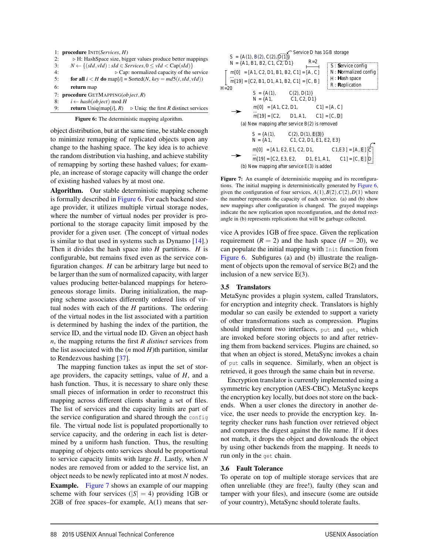| l: | <b>procedure</b> $INT(Services, H)$                                                      |
|----|------------------------------------------------------------------------------------------|
| 2: | $\triangleright$ H: HashSpace size, bigger values produce better mappings                |
| 3: | $N \leftarrow \{(sId, vId) : sId \in Services, 0 \le vId \le Cap(sId)\}\$                |
| 4: | $\triangleright$ Cap: normalized capacity of the service                                 |
| 5: | for all $i < H$ do map[i] = Sorted(N, key = md5(i, sId, vId))                            |
| 6: | return map                                                                               |
| 7: | <b>procedure</b> GETMAPPING( <i>ob</i> ject, $R$ )                                       |
| 8: | $i \leftarrow hash(object) \mod H$                                                       |
| 9: | <b>return</b> Uniq(map[i], $R$ )<br>$\triangleright$ Uniq: the first R distinct services |

Figure 6: The deterministic mapping algorithm.

object distribution, but at the same time, be stable enough to minimize remapping of replicated objects upon any change to the hashing space. The key idea is to achieve the random distribution via hashing, and achieve stability of remapping by sorting these hashed values; for example, an increase of storage capacity will change the order of existing hashed values by at most one.

Algorithm. Our stable deterministic mapping scheme is formally described in Figure 6. For each backend storage provider, it utilizes multiple virtual storage nodes, where the number of virtual nodes per provider is proportional to the storage capacity limit imposed by the provider for a given user. (The concept of virtual nodes is similar to that used in systems such as Dynamo [14].) Then it divides the hash space into *H* partitions. *H* is configurable, but remains fixed even as the service configuration changes. *H* can be arbitrary large but need to be larger than the sum of normalized capacity, with larger values producing better-balanced mappings for heterogeneous storage limits. During initialization, the mapping scheme associates differently ordered lists of virtual nodes with each of the *H* partitions. The ordering of the virtual nodes in the list associated with a partition is determined by hashing the index of the partition, the service ID, and the virtual node ID. Given an object hash *n*, the mapping returns the first *R distinct* services from the list associated with the  $(n \mod H)$ th partition, similar to Rendezvous hashing [37].

The mapping function takes as input the set of storage providers, the capacity settings, value of *H*, and a hash function. Thus, it is necessary to share only these small pieces of information in order to reconstruct this mapping across different clients sharing a set of files. The list of services and the capacity limits are part of the service configuration and shared through the config file. The virtual node list is populated proportionally to service capacity, and the ordering in each list is determined by a uniform hash function. Thus, the resulting mapping of objects onto services should be proportional to service capacity limits with large *H*. Lastly, when *N* nodes are removed from or added to the service list, an object needs to be newly replicated into at most *N* nodes. Example. Figure 7 shows an example of our mapping scheme with four services  $(|S| = 4)$  providing 1GB or  $2GB$  of free spaces–for example,  $A(1)$  means that ser-



Figure 7: An example of deterministic mapping and its reconfigurations. The initial mapping is deterministically generated by Figure 6, given the configuration of four services,  $A(1), B(2), C(2), D(1)$  where the number represents the capacity of each service. (a) and (b) show new mappings after configuration is changed. The grayed mappings indicate the new replication upon reconfiguration, and the dotted rectangle in (b) represents replications that will be garbage collected.

vice A provides 1GB of free space. Given the replication requirement  $(R = 2)$  and the hash space  $(H = 20)$ , we can populate the initial mapping with Init function from Figure 6. Subfigures (a) and (b) illustrate the realignment of objects upon the removal of service B(2) and the inclusion of a new service E(3).

#### 3.5 Translators

MetaSync provides a plugin system, called Translators, for encryption and integrity check. Translators is highly modular so can easily be extended to support a variety of other transformations such as compression. Plugins should implement two interfaces, put and get, which are invoked before storing objects to and after retrieving them from backend services. Plugins are chained, so that when an object is stored, MetaSync invokes a chain of put calls in sequence. Similarly, when an object is retrieved, it goes through the same chain but in reverse.

Encryption translator is currently implemented using a symmetric key encryption (AES-CBC). MetaSync keeps the encryption key locally, but does not store on the backends. When a user clones the directory in another device, the user needs to provide the encryption key. Integrity checker runs hash function over retrieved object and compares the digest against the file name. If it does not match, it drops the object and downloads the object by using other backends from the mapping. It needs to run only in the get chain.

#### 3.6 Fault Tolerance

To operate on top of multiple storage services that are often unreliable (they are free!), faulty (they scan and tamper with your files), and insecure (some are outside of your country), MetaSync should tolerate faults.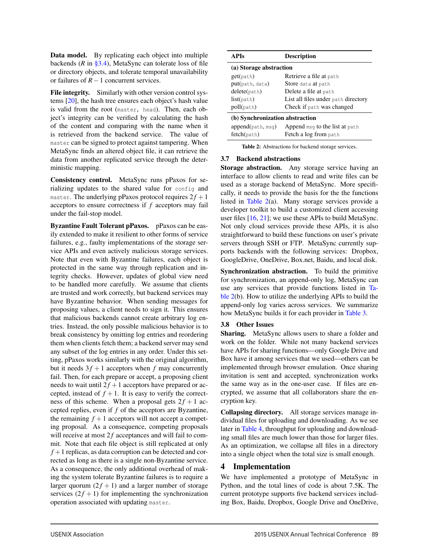Data model. By replicating each object into multiple backends (*R* in §3.4), MetaSync can tolerate loss of file or directory objects, and tolerate temporal unavailability or failures of *R*−1 concurrent services.

File integrity. Similarly with other version control systems [20], the hash tree ensures each object's hash value is valid from the root (master, head). Then, each object's integrity can be verified by calculating the hash of the content and comparing with the name when it is retrieved from the backend service. The value of master can be signed to protect against tampering. When MetaSync finds an altered object file, it can retrieve the data from another replicated service through the deterministic mapping.

Consistency control. MetaSync runs pPaxos for serializing updates to the shared value for config and master. The underlying pPaxos protocol requires  $2f + 1$ acceptors to ensure correctness if *f* acceptors may fail under the fail-stop model.

Byzantine Fault Tolerant pPaxos. pPaxos can be easily extended to make it resilient to other forms of service failures, e.g., faulty implementations of the storage service APIs and even actively malicious storage services. Note that even with Byzantine failures, each object is protected in the same way through replication and integrity checks. However, updates of global view need to be handled more carefully. We assume that clients are trusted and work correctly, but backend services may have Byzantine behavior. When sending messages for proposing values, a client needs to sign it. This ensures that malicious backends cannot create arbitrary log entries. Instead, the only possible malicious behavior is to break consistency by omitting log entries and reordering them when clients fetch them; a backend server may send any subset of the log entries in any order. Under this setting, pPaxos works similarly with the original algorithm, but it needs  $3f + 1$  acceptors when *f* may concurrently fail. Then, for each prepare or accept, a proposing client needs to wait until  $2f + 1$  acceptors have prepared or accepted, instead of  $f + 1$ . It is easy to verify the correctness of this scheme. When a proposal gets  $2f + 1$  accepted replies, even if *f* of the acceptors are Byzantine, the remaining  $f + 1$  acceptors will not accept a competing proposal. As a consequence, competing proposals will receive at most  $2f$  acceptances and will fail to commit. Note that each file object is still replicated at only  $f + 1$  replicas, as data corruption can be detected and corrected as long as there is a single non-Byzantine service. As a consequence, the only additional overhead of making the system tolerate Byzantine failures is to require a larger quorum  $(2f + 1)$  and a larger number of storage services  $(2f + 1)$  for implementing the synchronization operation associated with updating master.

| <b>APIs</b>                      | <b>Description</b>                                      |  |  |  |  |  |
|----------------------------------|---------------------------------------------------------|--|--|--|--|--|
| (a) Storage abstraction          |                                                         |  |  |  |  |  |
| get(path)                        | Retrieve a file at path                                 |  |  |  |  |  |
| put(path, data)                  | Store data at path                                      |  |  |  |  |  |
| delete(path)                     | Delete a file at path                                   |  |  |  |  |  |
| list(path)                       | List all files under path directory                     |  |  |  |  |  |
| poll(path)                       | Check if path was changed                               |  |  |  |  |  |
| (b) Synchronization abstraction  |                                                         |  |  |  |  |  |
| append(path, msg)<br>fetch(path) | Append msq to the list at path<br>Fetch a log from path |  |  |  |  |  |

Table 2: Abstractions for backend storage services.

#### 3.7 Backend abstractions

Storage abstraction. Any storage service having an interface to allow clients to read and write files can be used as a storage backend of MetaSync. More specifically, it needs to provide the basis for the the functions listed in Table 2(a). Many storage services provide a developer toolkit to build a customized client accessing user files  $[16, 21]$ ; we use these APIs to build MetaSync. Not only cloud services provide these APIs, it is also straightforward to build these functions on user's private servers through SSH or FTP. MetaSync currently supports backends with the following services: Dropbox, GoogleDrive, OneDrive, Box.net, Baidu, and local disk.

Synchronization abstraction. To build the primitive for synchronization, an append-only log, MetaSync can use any services that provide functions listed in Table 2(b). How to utilize the underlying APIs to build the append-only log varies across services. We summarize how MetaSync builds it for each provider in Table 3.

#### 3.8 Other Issues

Sharing. MetaSync allows users to share a folder and work on the folder. While not many backend services have APIs for sharing functions—only Google Drive and Box have it among services that we used—others can be implemented through browser emulation. Once sharing invitation is sent and accepted, synchronization works the same way as in the one-user case. If files are encrypted, we assume that all collaborators share the encryption key.

Collapsing directory. All storage services manage individual files for uploading and downloading. As we see later in Table 4, throughput for uploading and downloading small files are much lower than those for larger files. As an optimization, we collapse all files in a directory into a single object when the total size is small enough.

# 4 Implementation

We have implemented a prototype of MetaSync in Python, and the total lines of code is about 7.5K. The current prototype supports five backend services including Box, Baidu, Dropbox, Google Drive and OneDrive,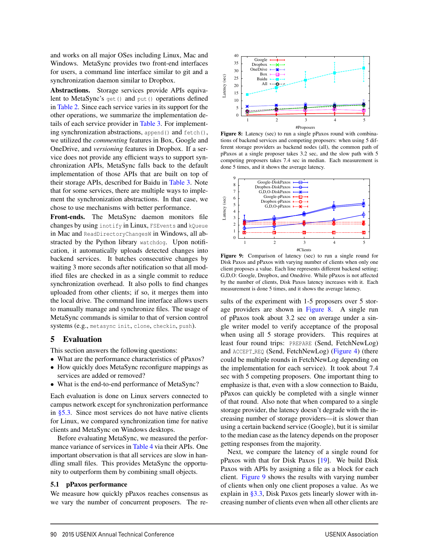and works on all major OSes including Linux, Mac and Windows. MetaSync provides two front-end interfaces for users, a command line interface similar to git and a synchronization daemon similar to Dropbox.

Abstractions. Storage services provide APIs equivalent to MetaSync's get() and put() operations defined in Table 2. Since each service varies in its support for the other operations, we summarize the implementation details of each service provider in Table 3. For implementing synchronization abstractions, append() and fetch(), we utilized the *commenting* features in Box, Google and OneDrive, and *versioning* features in Dropbox. If a service does not provide any efficient ways to support synchronization APIs, MetaSync falls back to the default implementation of those APIs that are built on top of their storage APIs, described for Baidu in Table 3. Note that for some services, there are multiple ways to implement the synchronization abstractions. In that case, we chose to use mechanisms with better performance.

Front-ends. The MetaSync daemon monitors file changes by using inotify in Linux, FSEvents and kQueue in Mac and ReadDirectoryChangesW in Windows, all abstracted by the Python library watchdog. Upon notification, it automatically uploads detected changes into backend services. It batches consecutive changes by waiting 3 more seconds after notification so that all modified files are checked in as a single commit to reduce synchronization overhead. It also polls to find changes uploaded from other clients; if so, it merges them into the local drive. The command line interface allows users to manually manage and synchronize files. The usage of MetaSync commands is similar to that of version control systems (e.g., metasync init, clone, checkin, push).

#### 5 Evaluation

This section answers the following questions:

- What are the performance characteristics of pPaxos? • How quickly does MetaSync reconfigure mappings as services are added or removed?
- What is the end-to-end performance of MetaSync?

Each evaluation is done on Linux servers connected to campus network except for synchronization performance in §5.3. Since most services do not have native clients for Linux, we compared synchronization time for native clients and MetaSync on Windows desktops.

Before evaluating MetaSync, we measured the performance variance of services in Table 4 via their APIs. One important observation is that all services are slow in handling small files. This provides MetaSync the opportunity to outperform them by combining small objects.

#### 5.1 pPaxos performance

We measure how quickly pPaxos reaches consensus as we vary the number of concurrent proposers. The re-



Figure 8: Latency (sec) to run a single pPaxos round with combinations of backend services and competing proposers: when using 5 different storage providers as backend nodes (all), the common path of pPaxos at a single proposer takes 3.2 sec, and the slow path with 5 competing proposers takes 7.4 sec in median. Each measurement is done 5 times, and it shows the average latency.



Figure 9: Comparison of latency (sec) to run a single round for Disk Paxos and pPaxos with varying number of clients when only one client proposes a value. Each line represents different backend setting; G,D,O: Google, Dropbox, and Onedrive. While pPaxos is not affected by the number of clients, Disk Paxos latency increases with it. Each measurement is done 5 times, and it shows the average latency.

sults of the experiment with 1-5 proposers over 5 storage providers are shown in Figure 8. A single run of pPaxos took about 3.2 sec on average under a single writer model to verify acceptance of the proposal when using all 5 storage providers. This requires at least four round trips: PREPARE (Send, FetchNewLog) and ACCEPT REQ (Send, FetchNewLog) (Figure 4) (there could be multiple rounds in FetchNewLog depending on the implementation for each service). It took about 7.4 sec with 5 competing proposers. One important thing to emphasize is that, even with a slow connection to Baidu, pPaxos can quickly be completed with a single winner of that round. Also note that when compared to a single storage provider, the latency doesn't degrade with the increasing number of storage providers—it is slower than using a certain backend service (Google), but it is similar to the median case as the latency depends on the proposer getting responses from the majority.

Next, we compare the latency of a single round for pPaxos with that for Disk Paxos [19]. We build Disk Paxos with APIs by assigning a file as a block for each client. Figure 9 shows the results with varying number of clients when only one client proposes a value. As we explain in §3.3, Disk Paxos gets linearly slower with increasing number of clients even when all other clients are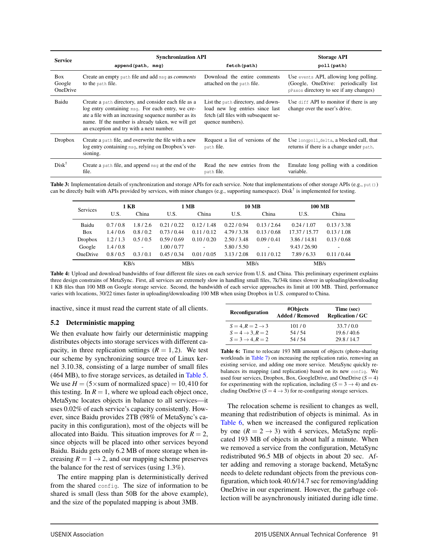| <b>Service</b>            | <b>Synchronization API</b>                                                                                                                                                                                                                                         | <b>Storage API</b>                                                                                                                |                                                                                                                            |
|---------------------------|--------------------------------------------------------------------------------------------------------------------------------------------------------------------------------------------------------------------------------------------------------------------|-----------------------------------------------------------------------------------------------------------------------------------|----------------------------------------------------------------------------------------------------------------------------|
|                           | append(path, msg)                                                                                                                                                                                                                                                  | fetch (path)                                                                                                                      | poll (path)                                                                                                                |
| Box<br>Google<br>OneDrive | Create an empty path file and add msq as <i>comments</i><br>to the path file.                                                                                                                                                                                      | Download the entire comments<br>attached on the path file.                                                                        | Use events API, allowing long polling.<br>(Google, OneDrive: periodically list)<br>pPaxos directory to see if any changes) |
| Baidu                     | Create a path directory, and consider each file as a<br>log entry containing msq. For each entry, we cre-<br>ate a file with an increasing sequence number as its<br>name. If the number is already taken, we will get<br>an exception and try with a next number. | List the path directory, and down-<br>load new log entries since last<br>fetch (all files with subsequent se-<br>quence numbers). | Use diff API to monitor if there is any<br>change over the user's drive.                                                   |
| <b>Dropbox</b>            | Create a path file, and overwrite the file with a new<br>log entry containing msq, relying on Dropbox's ver-<br>sioning.                                                                                                                                           | Request a list of versions of the<br>path file.                                                                                   | Use longpoll_delta, a blocked call, that<br>returns if there is a change under path.                                       |
| $Disk^{\dagger}$          | Create a path file, and append $msq$ at the end of the<br>file.                                                                                                                                                                                                    | Read the new entries from the<br>path file.                                                                                       | Emulate long polling with a condition<br>variable.                                                                         |

Table 3: Implementation details of synchronization and storage APIs for each service. Note that implementations of other storage APIs (e.g., put()) can be directly built with APIs provided by services, with minor changes (e.g., supporting namespace). Disk $\dagger$  is implemented for testing.

| <b>Services</b> | 1 KB    |                              | 1 MB        |                          | <b>10 MB</b> |                          | <b>100 MB</b> |           |
|-----------------|---------|------------------------------|-------------|--------------------------|--------------|--------------------------|---------------|-----------|
|                 | U.S.    | China                        | U.S.        | China                    | U.S.         | China                    | U.S.          | China     |
| Baidu           | 0.7/0.8 | 1.8/2.6                      | 0.21/0.22   | 0.12/1.48                | 0.22/0.94    | 0.13/2.64                | 0.24/1.07     | 0.13/3.38 |
| <b>Box</b>      | 1.4/0.6 | 0.8/0.2                      | 0.73/0.44   | 0.11/0.12                | 4.79/3.38    | 0.13/0.68                | 17.37 / 15.77 | 0.13/1.08 |
| <b>Dropbox</b>  | 1.2/1.3 | 0.5/0.5                      | 0.59/0.69   | 0.10 / 0.20              | 2.50/3.48    | 0.09/0.41                | 3.86/14.81    | 0.13/0.68 |
| Google          | 1.4/0.8 | $\qquad \qquad \blacksquare$ | 1.00 / 0.77 | $\overline{\phantom{a}}$ | 5.80/5.50    | $\overline{\phantom{0}}$ | 9.43 / 26.90  |           |
| <b>OneDrive</b> | 0.8/0.5 | 0.3/0.1                      | 0.45/0.34   | 0.01 / 0.05              | 3.13/2.08    | 0.11/0.12                | 7.89/6.33     | 0.11/0.44 |
|                 | KB/s    |                              | MB/s        |                          | MB/s         |                          | MB/s          |           |

Table 4: Upload and download bandwidths of four different file sizes on each service from U.S. and China. This preliminary experiment explains three design constrains of MetaSync. First, all services are extremely slow in handling small files, 7k/34k times slower in uploading/downloading 1 KB files than 100 MB on Google storage service. Second, the bandwidth of each service approaches its limit at 100 MB. Third, performance varies with locations, 30/22 times faster in uploading/downloading 100 MB when using Dropbox in U.S. compared to China.

inactive, since it must read the current state of all clients.

#### 5.2 Deterministic mapping

We then evaluate how fairly our deterministic mapping distributes objects into storage services with different capacity, in three replication settings  $(R = 1, 2)$ . We test our scheme by synchronizing source tree of Linux kernel 3.10.38, consisting of a large number of small files (464 MB), to five storage services, as detailed in Table 5. We use  $H = (5 \times \text{sum of normalized space}) = 10,410$  for this testing. In  $R = 1$ , where we upload each object once, MetaSync locates objects in balance to all services—it uses 0.02% of each service's capacity consistently. However, since Baidu provides 2TB (98% of MetaSync's capacity in this configuration), most of the objects will be allocated into Baidu. This situation improves for  $R = 2$ , since objects will be placed into other services beyond Baidu. Baidu gets only 6.2 MB of more storage when increasing  $R = 1 \rightarrow 2$ , and our mapping scheme preserves the balance for the rest of services (using 1.3%).

The entire mapping plan is deterministically derived from the shared config. The size of information to be shared is small (less than 50B for the above example), and the size of the populated mapping is about 3MB.

| Reconfiguration          | #Objects<br><b>Added / Removed</b> | Time (sec)<br><b>Replication / GC</b> |  |  |  |
|--------------------------|------------------------------------|---------------------------------------|--|--|--|
| $S=4, R=2 \rightarrow 3$ | 101/0                              | 33.7/0.0                              |  |  |  |
| $S=4\rightarrow 3, R=2$  | 54/54                              | 19.6/40.6                             |  |  |  |
| $S=3\rightarrow 4, R=2$  | 54/54                              | 29.8/14.7                             |  |  |  |

Table 6: Time to relocate 193 MB amount of objects (photo-sharing workloads in Table 7) on increasing the replication ratio, removing an existing service, and adding one more service. MetaSync quickly rebalances its mapping (and replication) based on its new config. We used four services, Dropbox, Box, GoogleDrive, and OneDrive  $(S = 4)$ for experimenting with the replication, including  $(S = 3 \rightarrow 4)$  and excluding OneDrive ( $S = 4 \rightarrow 3$ ) for re-configuring storage services.

The relocation scheme is resilient to changes as well, meaning that redistribution of objects is minimal. As in Table 6, when we increased the configured replication by one  $(R = 2 \rightarrow 3)$  with 4 services, MetaSync replicated 193 MB of objects in about half a minute. When we removed a service from the configuration, MetaSync redistributed 96.5 MB of objects in about 20 sec. After adding and removing a storage backend, MetaSync needs to delete redundant objects from the previous configuration, which took 40.6/14.7 sec for removing/adding OneDrive in our experiment. However, the garbage collection will be asynchronously initiated during idle time.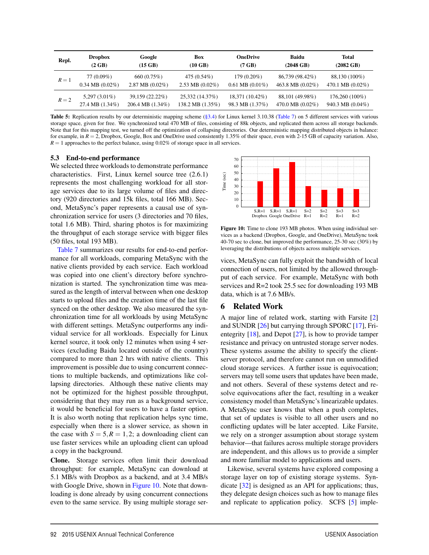| Repl. | <b>Dropbox</b>              | Google                       | Box                | <b>OneDrive</b>             | <b>Baidu</b>        | Total               |
|-------|-----------------------------|------------------------------|--------------------|-----------------------------|---------------------|---------------------|
|       | $(2 \text{ GB})$            | $(15$ GB)                    | $(10 \text{ GB})$  | $(7$ GB)                    | $(2048 \text{ GB})$ | $(2082 \text{ GB})$ |
| $R=1$ | 77 (0.09%)                  | 660 (0.75%)                  | 475 (0.54%)        | $179(0.20\%)$               | 86,739 (98.42%)     | 88,130 (100%)       |
|       | $0.34 \text{ MB } (0.02\%)$ | $2.87 \text{ MB } (0.02\%)$  | 2.53 MB $(0.02\%)$ | $0.61 \text{ MB } (0.01\%)$ | 463.8 MB $(0.02\%)$ | 470.1 MB $(0.02\%)$ |
| $R=2$ | $5,297(3.01\%)$             | 39,159 (22.22%)              | 25,332 (14.37%)    | 18,371 (10.42%)             | 88,101 (49.98%)     | 176,260 (100%)      |
|       | 27.4 MB (1.34%)             | $206.4 \text{ MB } (1.34\%)$ | 138.2 MB (1.35%)   | 98.3 MB (1.37%)             | 470.0 MB $(0.02\%)$ | 940.3 MB $(0.04\%)$ |

Table 5: Replication results by our deterministic mapping scheme (§3.4) for Linux kernel 3.10.38 (Table 7) on 5 different services with various storage space, given for free. We synchronized total 470 MB of files, consisting of 88k objects, and replicated them across all storage backends. Note that for this mapping test, we turned off the optimization of collapsing directories. Our deterministic mapping distributed objects in balance: for example, in  $R = 2$ , Dropbox, Google, Box and OneDrive used consistently 1.35% of their space, even with 2-15 GB of capacity variation. Also,  $R = 1$  approaches to the perfect balance, using 0.02% of storage space in all services.

#### 5.3 End-to-end performance

We selected three workloads to demonstrate performance characteristics. First, Linux kernel source tree (2.6.1) represents the most challenging workload for all storage services due to its large volume of files and directory (920 directories and 15k files, total 166 MB). Second, MetaSync's paper represents a causal use of synchronization service for users (3 directories and 70 files, total 1.6 MB). Third, sharing photos is for maximizing the throughput of each storage service with bigger files (50 files, total 193 MB).

Table 7 summarizes our results for end-to-end performance for all workloads, comparing MetaSync with the native clients provided by each service. Each workload was copied into one client's directory before synchronization is started. The synchronization time was measured as the length of interval between when one desktop starts to upload files and the creation time of the last file synced on the other desktop. We also measured the synchronization time for all workloads by using MetaSync with different settings. MetaSync outperforms any individual service for all workloads. Especially for Linux kernel source, it took only 12 minutes when using 4 services (excluding Baidu located outside of the country) compared to more than 2 hrs with native clients. This improvement is possible due to using concurrent connections to multiple backends, and optimizations like collapsing directories. Although these native clients may not be optimized for the highest possible throughput, considering that they may run as a background service, it would be beneficial for users to have a faster option. It is also worth noting that replication helps sync time, especially when there is a slower service, as shown in the case with  $S = 5, R = 1, 2$ ; a downloading client can use faster services while an uploading client can upload a copy in the background.

Clone. Storage services often limit their download throughput: for example, MetaSync can download at 5.1 MB/s with Dropbox as a backend, and at 3.4 MB/s with Google Drive, shown in Figure 10. Note that downloading is done already by using concurrent connections even to the same service. By using multiple storage ser-



Figure 10: Time to clone 193 MB photos. When using individual services as a backend (Dropbox, Google, and OneDrive), MetaSync took 40-70 sec to clone, but improved the performance, 25-30 sec (30%) by leveraging the distributions of objects across multiple services.

vices, MetaSync can fully exploit the bandwidth of local connection of users, not limited by the allowed throughput of each service. For example, MetaSync with both services and R=2 took 25.5 sec for downloading 193 MB data, which is at 7.6 MB/s.

# 6 Related Work

A major line of related work, starting with Farsite [2] and SUNDR [26] but carrying through SPORC [17], Frientegrity  $[18]$ , and Depot  $[27]$ , is how to provide tamper resistance and privacy on untrusted storage server nodes. These systems assume the ability to specify the clientserver protocol, and therefore cannot run on unmodified cloud storage services. A further issue is equivocation; servers may tell some users that updates have been made, and not others. Several of these systems detect and resolve equivocations after the fact, resulting in a weaker consistency model than MetaSync's linearizable updates. A MetaSync user knows that when a push completes, that set of updates is visible to all other users and no conflicting updates will be later accepted. Like Farsite, we rely on a stronger assumption about storage system behavior—that failures across multiple storage providers are independent, and this allows us to provide a simpler and more familiar model to applications and users.

Likewise, several systems have explored composing a storage layer on top of existing storage systems. Syndicate [32] is designed as an API for applications; thus, they delegate design choices such as how to manage files and replicate to application policy. SCFS [5] imple-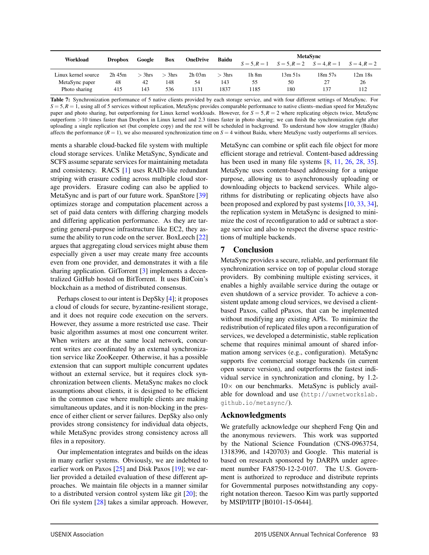| Workload            | <b>Dropbox</b> | Google   | Box      | <b>OneDrive</b> | <b>Baidu</b> | <b>MetaSync</b> |                                                             |         |           |
|---------------------|----------------|----------|----------|-----------------|--------------|-----------------|-------------------------------------------------------------|---------|-----------|
|                     |                |          |          |                 |              |                 | $S = 5, R = 1$ $S = 5, R = 2$ $S = 4, R = 1$ $S = 4, R = 2$ |         |           |
| Linux kernel source | $2h$ 45 $m$    | $>$ 3hrs | $>$ 3hrs | $2h$ 03 $m$     | $>$ 3hrs     | 1h 8m           | 13m 51s                                                     | 18m 57s | $12m$ 18s |
| MetaSync paper      | 48             | 42       | 148      | 54              | 143          | 55              | 50                                                          | 27      | 26        |
| Photo sharing       | 415            | 143      | 536      | 1131            | 1837         | 1185            | 180                                                         | 137     | 112       |

Table 7: Synchronization performance of 5 native clients provided by each storage service, and with four different settings of MetaSync. For  $S = 5, R = 1$ , using all of 5 services without replication, MetaSync provides comparable performance to native clients–median speed for MetaSync paper and photo sharing, but outperforming for Linux kernel workloads. However, for *S* = 5,*R* = 2 where replicating objects twice, MetaSync outperform >10 times faster than Dropbox in Linux kernel and 2.3 times faster in photo sharing; we can finish the synchronization right after uploading a single replication set (but complete copy) and the rest will be scheduled in background. To understand how slow straggler (Baidu) affects the performance  $(R = 1)$ , we also measured synchronization time on  $S = 4$  without Baidu, where MetaSync vastly outperforms all services.

ments a sharable cloud-backed file system with multiple cloud storage services. Unlike MetaSync, Syndicate and SCFS assume separate services for maintaining metadata and consistency. RACS [1] uses RAID-like redundant striping with erasure coding across multiple cloud storage providers. Erasure coding can also be applied to MetaSync and is part of our future work. SpanStore [39] optimizes storage and computation placement across a set of paid data centers with differing charging models and differing application performance. As they are targeting general-purpose infrastructure like EC2, they assume the ability to run code on the server. BoxLeech [22] argues that aggregating cloud services might abuse them especially given a user may create many free accounts even from one provider, and demonstrates it with a file sharing application. GitTorrent [3] implements a decentralized GitHub hosted on BitTorrent. It uses BitCoin's blockchain as a method of distributed consensus.

Perhaps closest to our intent is DepSky [4]; it proposes a cloud of clouds for secure, byzantine-resilient storage, and it does not require code execution on the servers. However, they assume a more restricted use case. Their basic algorithm assumes at most one concurrent writer. When writers are at the same local network, concurrent writes are coordinated by an external synchronization service like ZooKeeper. Otherwise, it has a possible extension that can support multiple concurrent updates without an external service, but it requires clock synchronization between clients. MetaSync makes no clock assumptions about clients, it is designed to be efficient in the common case where multiple clients are making simultaneous updates, and it is non-blocking in the presence of either client or server failures. DepSky also only provides strong consistency for individual data objects, while MetaSync provides strong consistency across all files in a repository.

Our implementation integrates and builds on the ideas in many earlier systems. Obviously, we are indebted to earlier work on Paxos [25] and Disk Paxos [19]; we earlier provided a detailed evaluation of these different approaches. We maintain file objects in a manner similar to a distributed version control system like git [20]; the Ori file system [28] takes a similar approach. However, MetaSync can combine or split each file object for more efficient storage and retrieval. Content-based addressing has been used in many file systems [8, 11, 26, 28, 35]. MetaSync uses content-based addressing for a unique purpose, allowing us to asynchronously uploading or downloading objects to backend services. While algorithms for distributing or replicating objects have also been proposed and explored by past systems [10, 33, 34], the replication system in MetaSync is designed to minimize the cost of reconfiguration to add or subtract a storage service and also to respect the diverse space restrictions of multiple backends.

# 7 Conclusion

MetaSync provides a secure, reliable, and performant file synchronization service on top of popular cloud storage providers. By combining multiple existing services, it enables a highly available service during the outage or even shutdown of a service provider. To achieve a consistent update among cloud services, we devised a clientbased Paxos, called pPaxos, that can be implemented without modifying any existing APIs. To minimize the redistribution of replicated files upon a reconfiguration of services, we developed a deterministic, stable replication scheme that requires minimal amount of shared information among services (e.g., configuration). MetaSync supports five commercial storage backends (in current open source version), and outperforms the fastest individual service in synchronization and cloning, by 1.2-  $10\times$  on our benchmarks. MetaSync is publicly available for download and use (http://uwnetworkslab. github.io/metasync/).

# Acknowledgments

We gratefully acknowledge our shepherd Feng Qin and the anonymous reviewers. This work was supported by the National Science Foundation (CNS-0963754, 1318396, and 1420703) and Google. This material is based on research sponsored by DARPA under agreement number FA8750-12-2-0107. The U.S. Government is authorized to reproduce and distribute reprints for Governmental purposes notwithstanding any copyright notation thereon. Taesoo Kim was partly supported by MSIP/IITP [B0101-15-0644].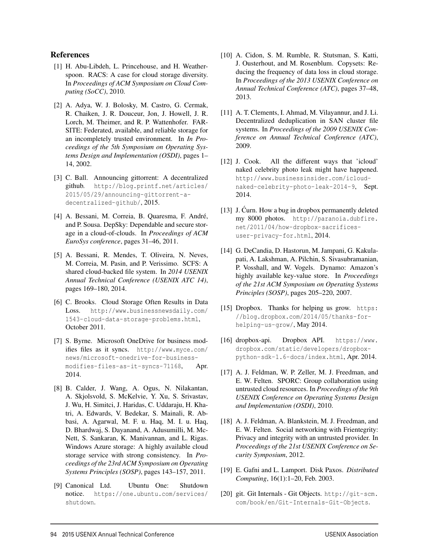#### References

- [1] H. Abu-Libdeh, L. Princehouse, and H. Weatherspoon. RACS: A case for cloud storage diversity. In *Proceedings of ACM Symposium on Cloud Computing (SoCC)*, 2010.
- [2] A. Adya, W. J. Bolosky, M. Castro, G. Cermak, R. Chaiken, J. R. Douceur, Jon, J. Howell, J. R. Lorch, M. Theimer, and R. P. Wattenhofer. FAR-SITE: Federated, available, and reliable storage for an incompletely trusted environment. In *In Proceedings of the 5th Symposium on Operating Systems Design and Implementation (OSDI)*, pages 1– 14, 2002.
- [3] C. Ball. Announcing gittorrent: A decentralized github. http://blog.printf.net/articles/ 2015/05/29/announcing-gittorrent-adecentralized-github/, 2015.
- [4] A. Bessani, M. Correia, B. Quaresma, F. André, and P. Sousa. DepSky: Dependable and secure storage in a cloud-of-clouds. In *Proceedings of ACM EuroSys conference*, pages 31–46, 2011.
- [5] A. Bessani, R. Mendes, T. Oliveira, N. Neves, M. Correia, M. Pasin, and P. Verissimo. SCFS: A shared cloud-backed file system. In *2014 USENIX Annual Technical Conference (USENIX ATC 14)*, pages 169–180, 2014.
- [6] C. Brooks. Cloud Storage Often Results in Data Loss. http://www.businessnewsdaily.com/ 1543-cloud-data-storage-problems.html, October 2011.
- [7] S. Byrne. Microsoft OneDrive for business modifies files as it syncs. http://www.myce.com/ news/microsoft-onedrive-for-businessmodifies-files-as-it-syncs-71168, Apr. 2014.
- [8] B. Calder, J. Wang, A. Ogus, N. Nilakantan, A. Skjolsvold, S. McKelvie, Y. Xu, S. Srivastav, J. Wu, H. Simitci, J. Haridas, C. Uddaraju, H. Khatri, A. Edwards, V. Bedekar, S. Mainali, R. Abbasi, A. Agarwal, M. F. u. Haq, M. I. u. Haq, D. Bhardwaj, S. Dayanand, A. Adusumilli, M. Mc-Nett, S. Sankaran, K. Manivannan, and L. Rigas. Windows Azure storage: A highly available cloud storage service with strong consistency. In *Proceedings of the 23rd ACM Symposium on Operating Systems Principles (SOSP)*, pages 143–157, 2011.
- [9] Canonical Ltd. Ubuntu One: Shutdown notice. https://one.ubuntu.com/services/ shutdown.
- [10] A. Cidon, S. M. Rumble, R. Stutsman, S. Katti, J. Ousterhout, and M. Rosenblum. Copysets: Reducing the frequency of data loss in cloud storage. In *Proceedings of the 2013 USENIX Conference on Annual Technical Conference (ATC)*, pages 37–48, 2013.
- [11] A. T. Clements, I. Ahmad, M. Vilayannur, and J. Li. Decentralized deduplication in SAN cluster file systems. In *Proceedings of the 2009 USENIX Conference on Annual Technical Conference (ATC)*, 2009.
- [12] J. Cook. All the different ways that 'icloud' naked celebrity photo leak might have happened. http://www.businessinsider.com/icloudnaked-celebrity-photo-leak-2014-9, Sept. 2014.
- [13] J. Curn. How a bug in dropbox permanently deleted my 8000 photos. http://paranoia.dubfire. net/2011/04/how-dropbox-sacrificesuser-privacy-for.html, 2014.
- [14] G. DeCandia, D. Hastorun, M. Jampani, G. Kakulapati, A. Lakshman, A. Pilchin, S. Sivasubramanian, P. Vosshall, and W. Vogels. Dynamo: Amazon's highly available key-value store. In *Proceedings of the 21st ACM Symposium on Operating Systems Principles (SOSP)*, pages 205–220, 2007.
- [15] Dropbox. Thanks for helping us grow. https: //blog.dropbox.com/2014/05/thanks-forhelping-us-grow/, May 2014.
- [16] dropbox-api. Dropbox API. https://www. dropbox.com/static/developers/dropboxpython-sdk-1.6-docs/index.html, Apr. 2014.
- [17] A. J. Feldman, W. P. Zeller, M. J. Freedman, and E. W. Felten. SPORC: Group collaboration using untrusted cloud resources. In *Proceedings of the 9th USENIX Conference on Operating Systems Design and Implementation (OSDI)*, 2010.
- [18] A. J. Feldman, A. Blankstein, M. J. Freedman, and E. W. Felten. Social networking with Frientegrity: Privacy and integrity with an untrusted provider. In *Proceedings of the 21st USENIX Conference on Security Symposium*, 2012.
- [19] E. Gafni and L. Lamport. Disk Paxos. *Distributed Computing*, 16(1):1–20, Feb. 2003.
- [20] git. Git Internals Git Objects. http://git-scm. com/book/en/Git-Internals-Git-Objects.